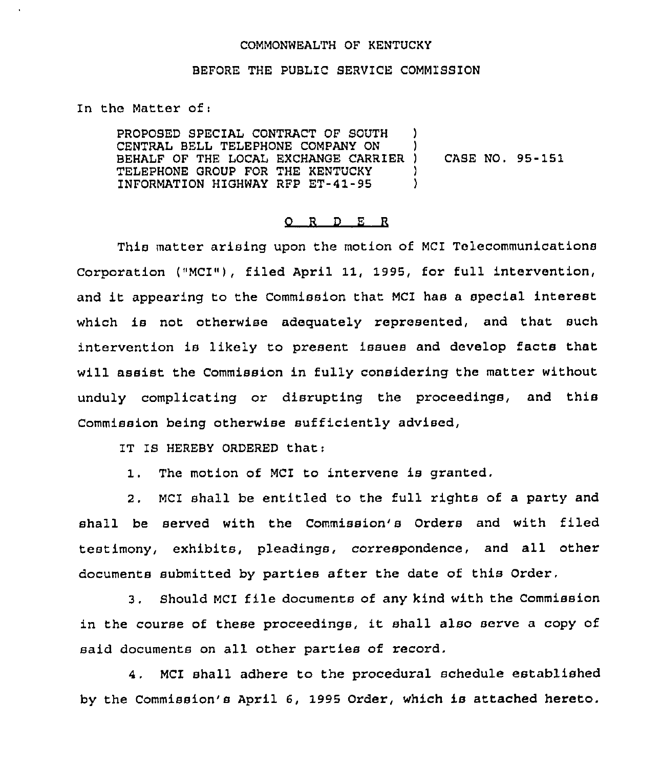## COMMONWEALTH OF KENTUCKY

## BEFORE THE PUBLIC SERVICE COMMlSSION

In the Matter of:

PROPOSED SPECIAL CONTRACT OF SOUTH CENTRAL BELL TELEPHONE COMPANY ON ) BEHALF OF THE LOCAL EXCHANGE CARRIER ) TELEPHONE GROUP FOR THE KENTUCKY )<br>INFORMATION HIGHWAY RFP ET-41-95 ) INFORMATION HIGHWAY RFP ET-41-95 CASE NO, 95-151

## 0 <sup>R</sup> <sup>D</sup> E <sup>R</sup>

This matter arising upon the motion of MCI Telecommunications Corporation ("MCI"), filed April 11, 1995, for full intervention, and it appearing to the Commission that MCI has <sup>a</sup> special interest which is not otherwise adequately represented, and that such intervention is likely to present issues and develop facts that will assist the Commission in fully considering the matter without unduly complicating or disrupting the proceedings, and this Commission being otherwise sufficiently advised,

IT IS HEREBY ORDERED that:

1. The motion of MCI to intervene is granted.

2. MCI shall be entitled to the full rights of a party and shall be served with the Commission's Orders and with filed testimony, exhibits, pleadings, correspondence, and all other documents submitted by parties after the date of this Order.

3. Should MCI file documents of any kind with the Commission in the course of these proceedings, it shall also serve <sup>a</sup> copy of said documents on all other parties of record.

4. MCI shall adhere to the procedural schedule established by the Commission's April 6, 1995 Order, which is attached hereto.